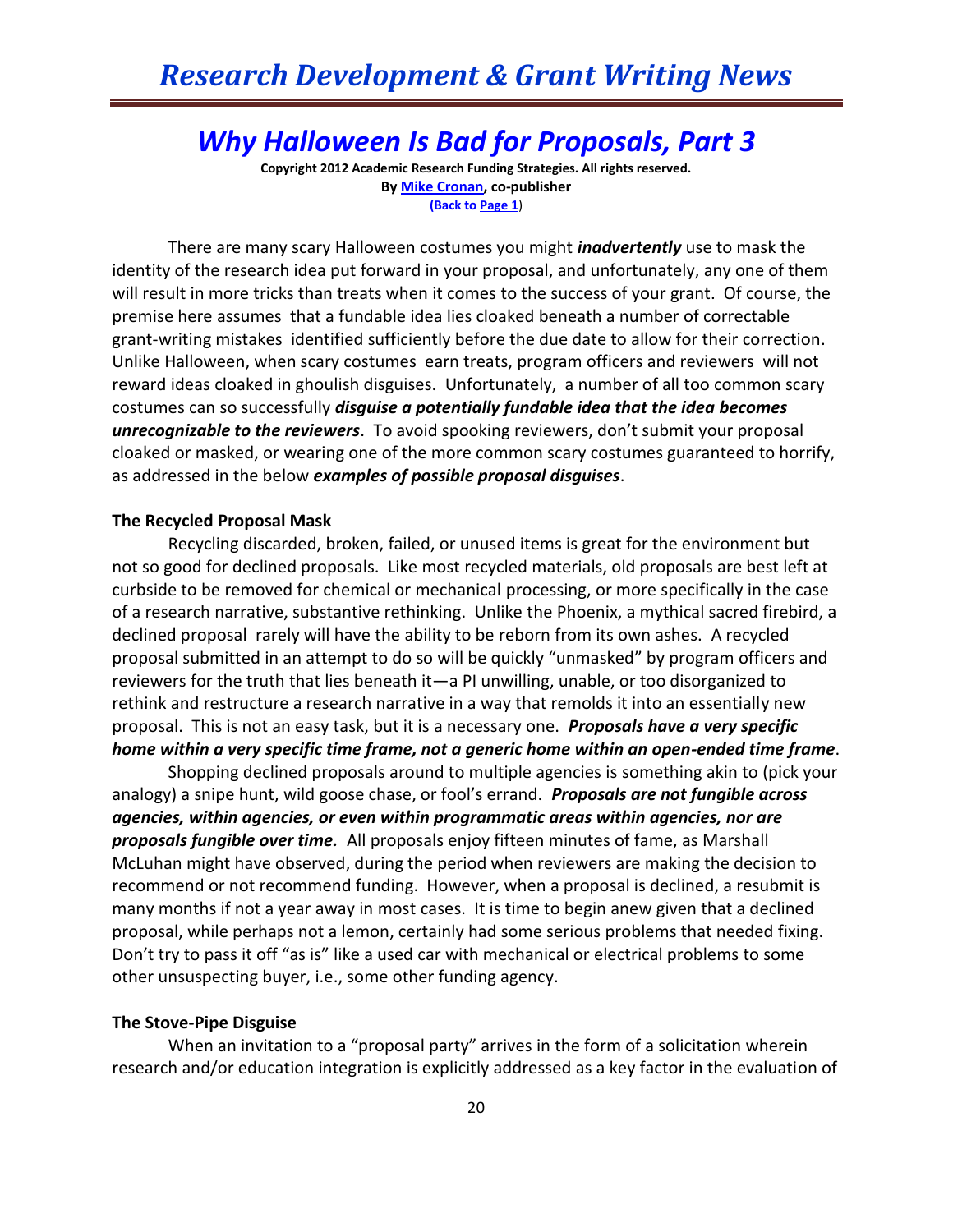## *Why Halloween Is Bad for Proposals, Part 3*

**Copyright 2012 Academic Research Funding Strategies. All rights reserved. B[y Mike Cronan,](mailto:mjcronan@gmail.com) co-publisher (Back to Page 1**)

There are many scary Halloween costumes you might *inadvertently* use to mask the identity of the research idea put forward in your proposal, and unfortunately, any one of them will result in more tricks than treats when it comes to the success of your grant. Of course, the premise here assumes that a fundable idea lies cloaked beneath a number of correctable grant-writing mistakes identified sufficiently before the due date to allow for their correction. Unlike Halloween, when scary costumes earn treats, program officers and reviewers will not reward ideas cloaked in ghoulish disguises. Unfortunately, a number of all too common scary costumes can so successfully *disguise a potentially fundable idea that the idea becomes unrecognizable to the reviewers*. To avoid spooking reviewers, don't submit your proposal cloaked or masked, or wearing one of the more common scary costumes guaranteed to horrify, as addressed in the below *examples of possible proposal disguises*.

## **The Recycled Proposal Mask**

Recycling discarded, broken, failed, or unused items is great for the environment but not so good for declined proposals. Like most recycled materials, old proposals are best left at curbside to be removed for chemical or mechanical processing, or more specifically in the case of a research narrative, substantive rethinking. Unlike the Phoenix, a mythical sacred firebird, a declined proposal rarely will have the ability to be reborn from its own ashes. A recycled proposal submitted in an attempt to do so will be quickly "unmasked" by program officers and reviewers for the truth that lies beneath it—a PI unwilling, unable, or too disorganized to rethink and restructure a research narrative in a way that remolds it into an essentially new proposal. This is not an easy task, but it is a necessary one. *Proposals have a very specific home within a very specific time frame, not a generic home within an open-ended time frame*.

Shopping declined proposals around to multiple agencies is something akin to (pick your analogy) a snipe hunt, wild goose chase, or fool's errand. *Proposals are not fungible across agencies, within agencies, or even within programmatic areas within agencies, nor are proposals fungible over time.* All proposals enjoy fifteen minutes of fame, as Marshall McLuhan might have observed, during the period when reviewers are making the decision to recommend or not recommend funding. However, when a proposal is declined, a resubmit is many months if not a year away in most cases. It is time to begin anew given that a declined proposal, while perhaps not a lemon, certainly had some serious problems that needed fixing. Don't try to pass it off "as is" like a used car with mechanical or electrical problems to some other unsuspecting buyer, i.e., some other funding agency.

## **The Stove-Pipe Disguise**

When an invitation to a "proposal party" arrives in the form of a solicitation wherein research and/or education integration is explicitly addressed as a key factor in the evaluation of